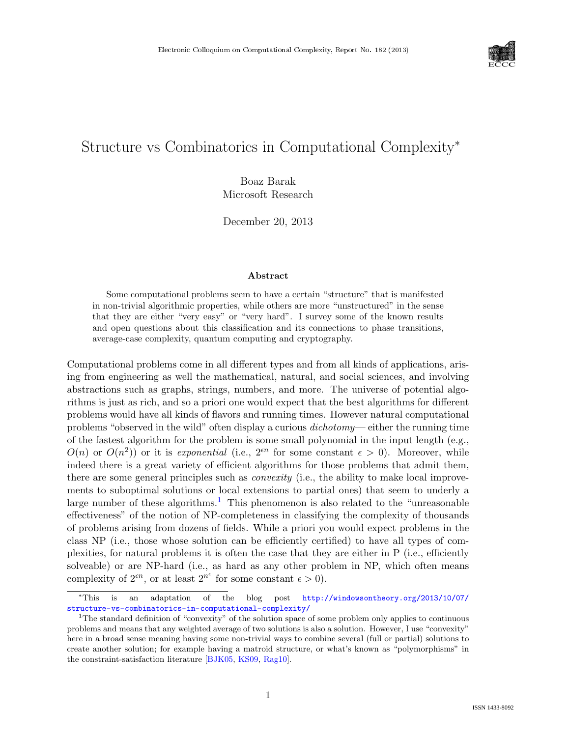

# Structure vs Combinatorics in Computational Complexity<sup>∗</sup>

Boaz Barak Microsoft Research

December 20, 2013

#### Abstract

Some computational problems seem to have a certain "structure" that is manifested in non-trivial algorithmic properties, while others are more "unstructured" in the sense that they are either "very easy" or "very hard". I survey some of the known results and open questions about this classification and its connections to phase transitions, average-case complexity, quantum computing and cryptography.

Computational problems come in all different types and from all kinds of applications, arising from engineering as well the mathematical, natural, and social sciences, and involving abstractions such as graphs, strings, numbers, and more. The universe of potential algorithms is just as rich, and so a priori one would expect that the best algorithms for different problems would have all kinds of flavors and running times. However natural computational problems "observed in the wild" often display a curious dichotomy— either the running time of the fastest algorithm for the problem is some small polynomial in the input length (e.g.,  $O(n)$  or  $O(n^2)$  or it is exponential (i.e.,  $2^{\epsilon n}$  for some constant  $\epsilon > 0$ ). Moreover, while indeed there is a great variety of efficient algorithms for those problems that admit them, there are some general principles such as *convexity* (i.e., the ability to make local improvements to suboptimal solutions or local extensions to partial ones) that seem to underly a large number of these algorithms.<sup>[1](#page-0-0)</sup> This phenomenon is also related to the "unreasonable" effectiveness" of the notion of NP-completeness in classifying the complexity of thousands of problems arising from dozens of fields. While a priori you would expect problems in the class NP (i.e., those whose solution can be efficiently certified) to have all types of complexities, for natural problems it is often the case that they are either in P (i.e., efficiently solveable) or are NP-hard (i.e., as hard as any other problem in NP, which often means complexity of  $2^{\epsilon n}$ , or at least  $2^{n^{\epsilon}}$  for some constant  $\epsilon > 0$ ).

<sup>∗</sup>This is an adaptation of the blog post [http://windowsontheory.org/2013/10/07/](http://windowsontheory.org/2013/10/07/structure-vs-combinatorics-in-computational-complexity/) [structure-vs-combinatorics-in-computational-complexity/](http://windowsontheory.org/2013/10/07/structure-vs-combinatorics-in-computational-complexity/)

<span id="page-0-0"></span><sup>&</sup>lt;sup>1</sup>The standard definition of "convexity" of the solution space of some problem only applies to continuous problems and means that any weighted average of two solutions is also a solution. However, I use "convexity" here in a broad sense meaning having some non-trivial ways to combine several (full or partial) solutions to create another solution; for example having a matroid structure, or what's known as "polymorphisms" in the constraint-satisfaction literature [\[BJK05,](#page--1-0) [KS09,](#page--1-1) [Rag10\]](#page--1-2).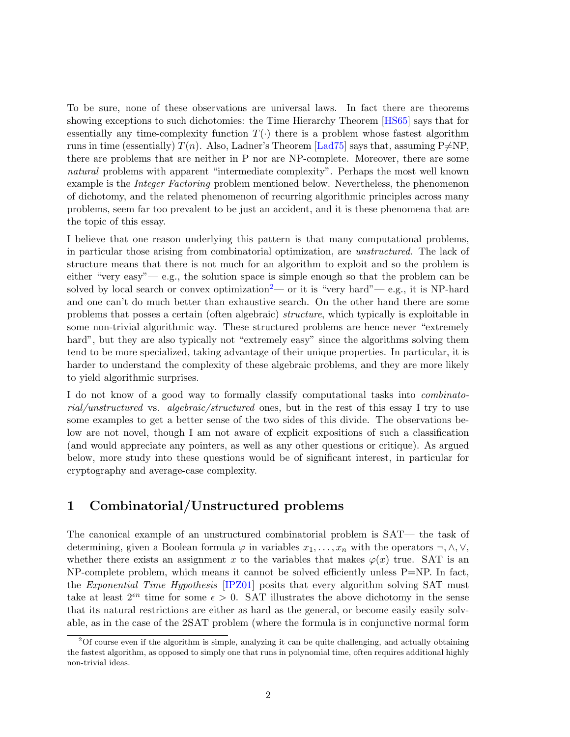<span id="page-1-1"></span>To be sure, none of these observations are universal laws. In fact there are theorems showing exceptions to such dichotomies: the Time Hierarchy Theorem [\[HS65\]](#page-9-0) says that for essentially any time-complexity function  $T(\cdot)$  there is a problem whose fastest algorithm runs in time (essentially)  $T(n)$ . Also, Ladner's Theorem [\[Lad75\]](#page--1-3) says that, assuming P $\neq$ NP, there are problems that are neither in P nor are NP-complete. Moreover, there are some natural problems with apparent "intermediate complexity". Perhaps the most well known example is the *Integer Factoring* problem mentioned below. Nevertheless, the phenomenon of dichotomy, and the related phenomenon of recurring algorithmic principles across many problems, seem far too prevalent to be just an accident, and it is these phenomena that are the topic of this essay.

I believe that one reason underlying this pattern is that many computational problems, in particular those arising from combinatorial optimization, are unstructured. The lack of structure means that there is not much for an algorithm to exploit and so the problem is either "very easy"— e.g., the solution space is simple enough so that the problem can be solved by local search or convex optimization<sup>[2](#page-1-0)</sup>— or it is "very hard"— e.g., it is NP-hard and one can't do much better than exhaustive search. On the other hand there are some problems that posses a certain (often algebraic) structure, which typically is exploitable in some non-trivial algorithmic way. These structured problems are hence never "extremely hard", but they are also typically not "extremely easy" since the algorithms solving them tend to be more specialized, taking advantage of their unique properties. In particular, it is harder to understand the complexity of these algebraic problems, and they are more likely to yield algorithmic surprises.

I do not know of a good way to formally classify computational tasks into combinatorial/unstructured vs. algebraic/structured ones, but in the rest of this essay I try to use some examples to get a better sense of the two sides of this divide. The observations below are not novel, though I am not aware of explicit expositions of such a classification (and would appreciate any pointers, as well as any other questions or critique). As argued below, more study into these questions would be of significant interest, in particular for cryptography and average-case complexity.

### 1 Combinatorial/Unstructured problems

The canonical example of an unstructured combinatorial problem is SAT— the task of determining, given a Boolean formula  $\varphi$  in variables  $x_1, \ldots, x_n$  with the operators  $\neg, \wedge, \vee,$ whether there exists an assignment x to the variables that makes  $\varphi(x)$  true. SAT is an  $NP$ -complete problem, which means it cannot be solved efficiently unless  $P=NP$ . In fact, the Exponential Time Hypothesis [\[IPZ01\]](#page-9-1) posits that every algorithm solving SAT must take at least  $2^{\epsilon n}$  time for some  $\epsilon > 0$ . SAT illustrates the above dichotomy in the sense that its natural restrictions are either as hard as the general, or become easily easily solvable, as in the case of the 2SAT problem (where the formula is in conjunctive normal form

<span id="page-1-0"></span> $2$ Of course even if the algorithm is simple, analyzing it can be quite challenging, and actually obtaining the fastest algorithm, as opposed to simply one that runs in polynomial time, often requires additional highly non-trivial ideas.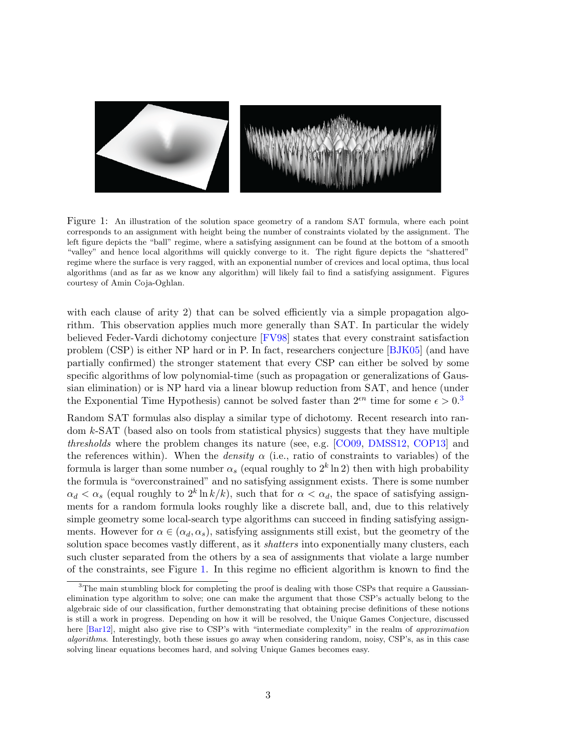<span id="page-2-2"></span>

<span id="page-2-1"></span>Figure 1: An illustration of the solution space geometry of a random SAT formula, where each point corresponds to an assignment with height being the number of constraints violated by the assignment. The left figure depicts the "ball" regime, where a satisfying assignment can be found at the bottom of a smooth "valley" and hence local algorithms will quickly converge to it. The right figure depicts the "shattered" regime where the surface is very ragged, with an exponential number of crevices and local optima, thus local algorithms (and as far as we know any algorithm) will likely fail to find a satisfying assignment. Figures courtesy of Amin Coja-Oghlan.

with each clause of arity 2) that can be solved efficiently via a simple propagation algorithm. This observation applies much more generally than SAT. In particular the widely believed Feder-Vardi dichotomy conjecture [\[FV98\]](#page-9-2) states that every constraint satisfaction problem (CSP) is either NP hard or in P. In fact, researchers conjecture [\[BJK05\]](#page-8-0) (and have partially confirmed) the stronger statement that every CSP can either be solved by some specific algorithms of low polynomial-time (such as propagation or generalizations of Gaussian elimination) or is NP hard via a linear blowup reduction from SAT, and hence (under the Exponential Time Hypothesis) cannot be solved faster than  $2^{\epsilon n}$  time for some  $\epsilon > 0.3$  $\epsilon > 0.3$ 

Random SAT formulas also display a similar type of dichotomy. Recent research into random k-SAT (based also on tools from statistical physics) suggests that they have multiple thresholds where the problem changes its nature (see, e.g. [\[CO09,](#page-9-3) [DMSS12,](#page-9-4) [COP13\]](#page-9-5) and the references within). When the *density*  $\alpha$  (i.e., ratio of constraints to variables) of the formula is larger than some number  $\alpha_s$  (equal roughly to  $2^k \ln 2$ ) then with high probability the formula is "overconstrained" and no satisfying assignment exists. There is some number  $\alpha_d < \alpha_s$  (equal roughly to  $2^k \ln k/k$ ), such that for  $\alpha < \alpha_d$ , the space of satisfying assignments for a random formula looks roughly like a discrete ball, and, due to this relatively simple geometry some local-search type algorithms can succeed in finding satisfying assignments. However for  $\alpha \in (\alpha_d, \alpha_s)$ , satisfying assignments still exist, but the geometry of the solution space becomes vastly different, as it *shatters* into exponentially many clusters, each such cluster separated from the others by a sea of assignments that violate a large number of the constraints, see Figure [1.](#page-2-1) In this regime no efficient algorithm is known to find the

<span id="page-2-0"></span><sup>&</sup>lt;sup>3</sup>The main stumbling block for completing the proof is dealing with those CSPs that require a Gaussianelimination type algorithm to solve; one can make the argument that those CSP's actually belong to the algebraic side of our classification, further demonstrating that obtaining precise definitions of these notions is still a work in progress. Depending on how it will be resolved, the Unique Games Conjecture, discussed here [\[Bar12\]](#page-8-1), might also give rise to CSP's with "intermediate complexity" in the realm of approximation algorithms. Interestingly, both these issues go away when considering random, noisy, CSP's, as in this case solving linear equations becomes hard, and solving Unique Games becomes easy.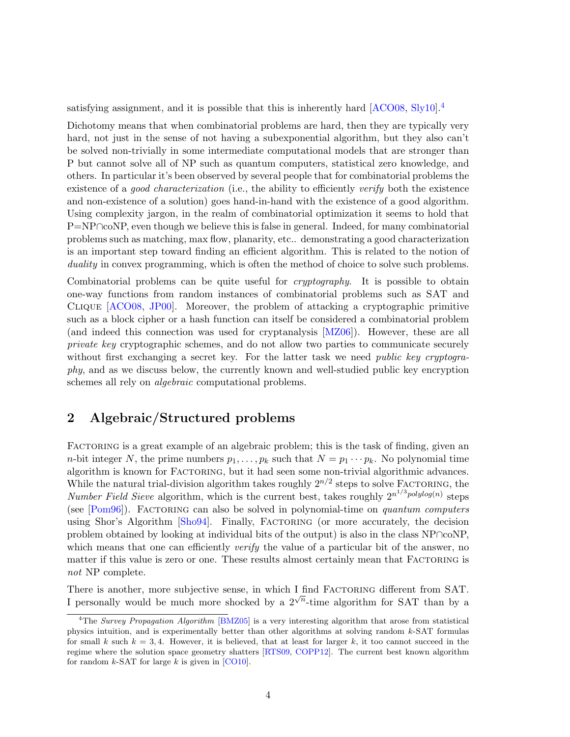<span id="page-3-1"></span>satisfying assignment, and it is possible that this is inherently hard [\[ACO08,](#page-8-2) [Sly10\]](#page--1-4).<sup>[4](#page-3-0)</sup>

Dichotomy means that when combinatorial problems are hard, then they are typically very hard, not just in the sense of not having a subexponential algorithm, but they also can't be solved non-trivially in some intermediate computational models that are stronger than P but cannot solve all of NP such as quantum computers, statistical zero knowledge, and others. In particular it's been observed by several people that for combinatorial problems the existence of a *good characterization* (i.e., the ability to efficiently verify both the existence and non-existence of a solution) goes hand-in-hand with the existence of a good algorithm. Using complexity jargon, in the realm of combinatorial optimization it seems to hold that P=NP∩coNP, even though we believe this is false in general. Indeed, for many combinatorial problems such as matching, max flow, planarity, etc.. demonstrating a good characterization is an important step toward finding an efficient algorithm. This is related to the notion of duality in convex programming, which is often the method of choice to solve such problems.

Combinatorial problems can be quite useful for *cryptography*. It is possible to obtain one-way functions from random instances of combinatorial problems such as SAT and Clique [\[ACO08,](#page-8-2) [JP00\]](#page--1-5). Moreover, the problem of attacking a cryptographic primitive such as a block cipher or a hash function can itself be considered a combinatorial problem (and indeed this connection was used for cryptanalysis [\[MZ06\]](#page--1-6)). However, these are all private key cryptographic schemes, and do not allow two parties to communicate securely without first exchanging a secret key. For the latter task we need *public key cryptogra*phy, and as we discuss below, the currently known and well-studied public key encryption schemes all rely on algebraic computational problems.

### 2 Algebraic/Structured problems

FACTORING is a great example of an algebraic problem; this is the task of finding, given an *n*-bit integer N, the prime numbers  $p_1, \ldots, p_k$  such that  $N = p_1 \cdots p_k$ . No polynomial time algorithm is known for FACTORING, but it had seen some non-trivial algorithmic advances. While the natural trial-division algorithm takes roughly  $2^{n/2}$  steps to solve FACTORING, the Number Field Sieve algorithm, which is the current best, takes roughly  $2^{n^{1/3}polylog(n)}$  steps (see  $[Pom96]$ ). FACTORING can also be solved in polynomial-time on *quantum computers* using Shor's Algorithm [\[Sho94\]](#page--1-8). Finally, Factoring (or more accurately, the decision problem obtained by looking at individual bits of the output) is also in the class NP∩coNP, which means that one can efficiently *verify* the value of a particular bit of the answer, no matter if this value is zero or one. These results almost certainly mean that FACTORING is not NP complete.

There is another, more subjective sense, in which  $I$  find FACTORING different from SAT. I personally would be much more shocked by a  $2^{\sqrt{n}}$ -time algorithm for SAT than by a

<span id="page-3-0"></span><sup>&</sup>lt;sup>4</sup>The Survey Propagation Algorithm [\[BMZ05\]](#page-9-6) is a very interesting algorithm that arose from statistical physics intuition, and is experimentally better than other algorithms at solving random k-SAT formulas for small k such  $k = 3, 4$ . However, it is believed, that at least for larger k, it too cannot succeed in the regime where the solution space geometry shatters [\[RTS09,](#page--1-9) [COPP12\]](#page-9-7). The current best known algorithm for random  $k$ -SAT for large  $k$  is given in [\[CO10\]](#page-9-8).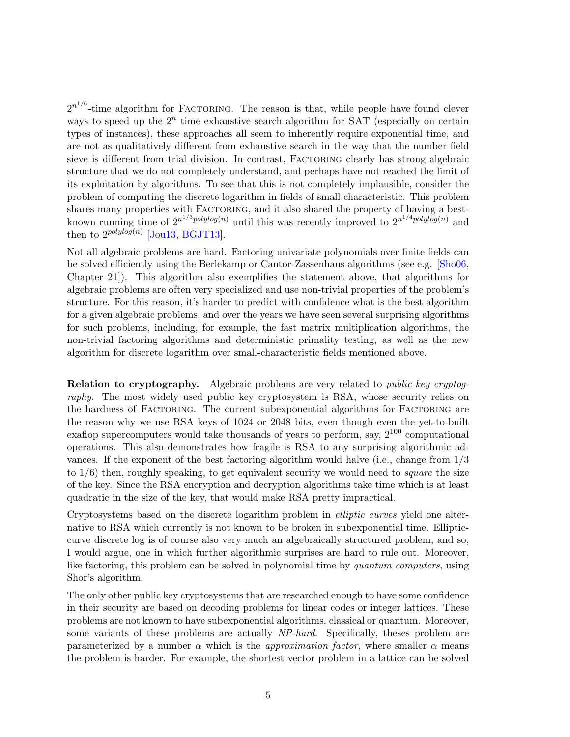<span id="page-4-0"></span> $2^{n^{1/6}}$ -time algorithm for FACTORING. The reason is that, while people have found clever ways to speed up the  $2^n$  time exhaustive search algorithm for SAT (especially on certain types of instances), these approaches all seem to inherently require exponential time, and are not as qualitatively different from exhaustive search in the way that the number field sieve is different from trial division. In contrast, FACTORING clearly has strong algebraic structure that we do not completely understand, and perhaps have not reached the limit of its exploitation by algorithms. To see that this is not completely implausible, consider the problem of computing the discrete logarithm in fields of small characteristic. This problem shares many properties with FACTORING, and it also shared the property of having a bestknown running time of  $2^{n^{1/3}polylog(n)}$  until this was recently improved to  $2^{n^{1/4}polylog(n)}$  and then to  $2^{polylog(n)}$  [\[Jou13,](#page-9-9) [BGJT13\]](#page-8-3).

Not all algebraic problems are hard. Factoring univariate polynomials over finite fields can be solved efficiently using the Berlekamp or Cantor-Zassenhaus algorithms (see e.g. [\[Sho06,](#page--1-10) Chapter 21]). This algorithm also exemplifies the statement above, that algorithms for algebraic problems are often very specialized and use non-trivial properties of the problem's structure. For this reason, it's harder to predict with confidence what is the best algorithm for a given algebraic problems, and over the years we have seen several surprising algorithms for such problems, including, for example, the fast matrix multiplication algorithms, the non-trivial factoring algorithms and deterministic primality testing, as well as the new algorithm for discrete logarithm over small-characteristic fields mentioned above.

Relation to cryptography. Algebraic problems are very related to public key cryptography. The most widely used public key cryptosystem is RSA, whose security relies on the hardness of FACTORING. The current subexponential algorithms for FACTORING are the reason why we use RSA keys of 1024 or 2048 bits, even though even the yet-to-built exaflop supercomputers would take thousands of years to perform, say,  $2^{100}$  computational operations. This also demonstrates how fragile is RSA to any surprising algorithmic advances. If the exponent of the best factoring algorithm would halve (i.e., change from 1/3 to  $1/6$ ) then, roughly speaking, to get equivalent security we would need to *square* the size of the key. Since the RSA encryption and decryption algorithms take time which is at least quadratic in the size of the key, that would make RSA pretty impractical.

Cryptosystems based on the discrete logarithm problem in elliptic curves yield one alternative to RSA which currently is not known to be broken in subexponential time. Ellipticcurve discrete log is of course also very much an algebraically structured problem, and so, I would argue, one in which further algorithmic surprises are hard to rule out. Moreover, like factoring, this problem can be solved in polynomial time by quantum computers, using Shor's algorithm.

The only other public key cryptosystems that are researched enough to have some confidence in their security are based on decoding problems for linear codes or integer lattices. These problems are not known to have subexponential algorithms, classical or quantum. Moreover, some variants of these problems are actually NP-hard. Specifically, theses problem are parameterized by a number  $\alpha$  which is the *approximation factor*, where smaller  $\alpha$  means the problem is harder. For example, the shortest vector problem in a lattice can be solved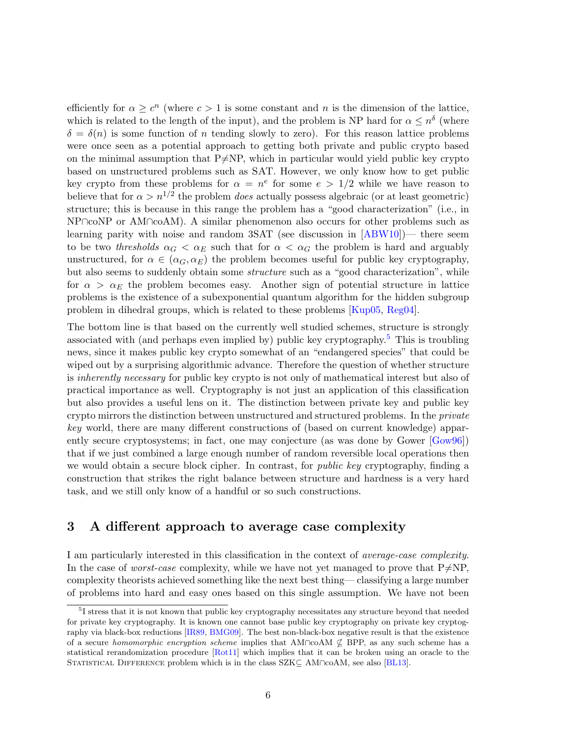<span id="page-5-1"></span>efficiently for  $\alpha \geq c^n$  (where  $c > 1$  is some constant and n is the dimension of the lattice, which is related to the length of the input), and the problem is NP hard for  $\alpha \leq n^{\delta}$  (where  $\delta = \delta(n)$  is some function of n tending slowly to zero). For this reason lattice problems were once seen as a potential approach to getting both private and public crypto based on the minimal assumption that  $P\neq NP$ , which in particular would yield public key crypto based on unstructured problems such as SAT. However, we only know how to get public key crypto from these problems for  $\alpha = n^e$  for some  $e > 1/2$  while we have reason to believe that for  $\alpha > n^{1/2}$  the problem *does* actually possess algebraic (or at least geometric) structure; this is because in this range the problem has a "good characterization" (i.e., in NP∩coNP or AM∩coAM). A similar phenomenon also occurs for other problems such as learning parity with noise and random 3SAT (see discussion in [\[ABW10\]](#page-8-4))— there seem to be two *thresholds*  $\alpha_G < \alpha_E$  such that for  $\alpha < \alpha_G$  the problem is hard and arguably unstructured, for  $\alpha \in (\alpha_G, \alpha_E)$  the problem becomes useful for public key cryptography, but also seems to suddenly obtain some *structure* such as a "good characterization", while for  $\alpha > \alpha_E$  the problem becomes easy. Another sign of potential structure in lattice problems is the existence of a subexponential quantum algorithm for the hidden subgroup problem in dihedral groups, which is related to these problems [\[Kup05,](#page--1-11) [Reg04\]](#page--1-12).

The bottom line is that based on the currently well studied schemes, structure is strongly associated with (and perhaps even implied by) public key cryptography.[5](#page-5-0) This is troubling news, since it makes public key crypto somewhat of an "endangered species" that could be wiped out by a surprising algorithmic advance. Therefore the question of whether structure is inherently necessary for public key crypto is not only of mathematical interest but also of practical importance as well. Cryptography is not just an application of this classification but also provides a useful lens on it. The distinction between private key and public key crypto mirrors the distinction between unstructured and structured problems. In the *private* key world, there are many different constructions of (based on current knowledge) apparently secure cryptosystems; in fact, one may conjecture (as was done by Gower [\[Gow96\]](#page-9-10)) that if we just combined a large enough number of random reversible local operations then we would obtain a secure block cipher. In contrast, for *public key* cryptography, finding a construction that strikes the right balance between structure and hardness is a very hard task, and we still only know of a handful or so such constructions.

## 3 A different approach to average case complexity

I am particularly interested in this classification in the context of average-case complexity. In the case of *worst-case* complexity, while we have not yet managed to prove that  $P\neq NP$ , complexity theorists achieved something like the next best thing— classifying a large number of problems into hard and easy ones based on this single assumption. We have not been

<span id="page-5-0"></span><sup>&</sup>lt;sup>5</sup>I stress that it is not known that public key cryptography necessitates any structure beyond that needed for private key cryptography. It is known one cannot base public key cryptography on private key cryptography via black-box reductions [\[IR89,](#page-9-11) [BMG09\]](#page-8-5). The best non-black-box negative result is that the existence of a secure homomorphic encryption scheme implies that AM∩coAM  $\nsubseteq$  BPP, as any such scheme has a statistical rerandomization procedure [\[Rot11\]](#page--1-13) which implies that it can be broken using an oracle to the STATISTICAL DIFFERENCE problem which is in the class  $SZK\subseteq AM\cap coAM$ , see also [\[BL13\]](#page-8-6).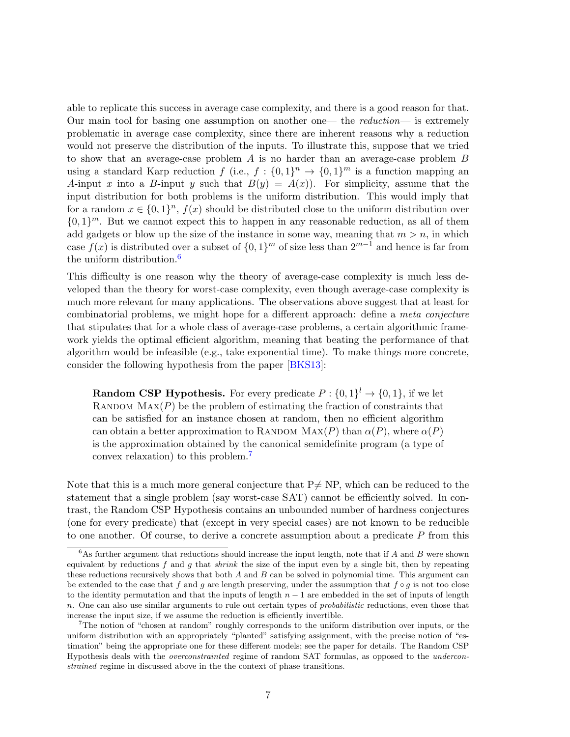<span id="page-6-2"></span>able to replicate this success in average case complexity, and there is a good reason for that. Our main tool for basing one assumption on another one— the reduction— is extremely problematic in average case complexity, since there are inherent reasons why a reduction would not preserve the distribution of the inputs. To illustrate this, suppose that we tried to show that an average-case problem A is no harder than an average-case problem B using a standard Karp reduction  $f$  (i.e.,  $f: \{0,1\}^n \to \{0,1\}^m$  is a function mapping an A-input x into a B-input y such that  $B(y) = A(x)$ . For simplicity, assume that the input distribution for both problems is the uniform distribution. This would imply that for a random  $x \in \{0,1\}^n$ ,  $f(x)$  should be distributed close to the uniform distribution over  $\{0,1\}^m$ . But we cannot expect this to happen in any reasonable reduction, as all of them add gadgets or blow up the size of the instance in some way, meaning that  $m > n$ , in which case  $f(x)$  is distributed over a subset of  $\{0,1\}^m$  of size less than  $2^{m-1}$  and hence is far from the uniform distribution.<sup>[6](#page-6-0)</sup>

This difficulty is one reason why the theory of average-case complexity is much less developed than the theory for worst-case complexity, even though average-case complexity is much more relevant for many applications. The observations above suggest that at least for combinatorial problems, we might hope for a different approach: define a meta conjecture that stipulates that for a whole class of average-case problems, a certain algorithmic framework yields the optimal efficient algorithm, meaning that beating the performance of that algorithm would be infeasible (e.g., take exponential time). To make things more concrete, consider the following hypothesis from the paper [\[BKS13\]](#page-8-7):

**Random CSP Hypothesis.** For every predicate  $P: \{0,1\}^l \to \{0,1\}$ , if we let RANDOM  $\text{MAX}(P)$  be the problem of estimating the fraction of constraints that can be satisfied for an instance chosen at random, then no efficient algorithm can obtain a better approximation to RANDOM  $\text{MAX}(P)$  than  $\alpha(P)$ , where  $\alpha(P)$ is the approximation obtained by the canonical semidefinite program (a type of convex relaxation) to this problem.[7](#page-6-1)

Note that this is a much more general conjecture that  $P\neq NP$ , which can be reduced to the statement that a single problem (say worst-case SAT) cannot be efficiently solved. In contrast, the Random CSP Hypothesis contains an unbounded number of hardness conjectures (one for every predicate) that (except in very special cases) are not known to be reducible to one another. Of course, to derive a concrete assumption about a predicate P from this

<span id="page-6-0"></span> $6$ As further argument that reductions should increase the input length, note that if A and B were shown equivalent by reductions  $f$  and  $g$  that shrink the size of the input even by a single bit, then by repeating these reductions recursively shows that both  $A$  and  $B$  can be solved in polynomial time. This argument can be extended to the case that f and g are length preserving, under the assumption that  $f \circ q$  is not too close to the identity permutation and that the inputs of length  $n - 1$  are embedded in the set of inputs of length n. One can also use similar arguments to rule out certain types of probabilistic reductions, even those that increase the input size, if we assume the reduction is efficiently invertible.

<span id="page-6-1"></span><sup>7</sup>The notion of "chosen at random" roughly corresponds to the uniform distribution over inputs, or the uniform distribution with an appropriately "planted" satisfying assignment, with the precise notion of "estimation" being the appropriate one for these different models; see the paper for details. The Random CSP Hypothesis deals with the overconstrainted regime of random SAT formulas, as opposed to the underconstrained regime in discussed above in the the context of phase transitions.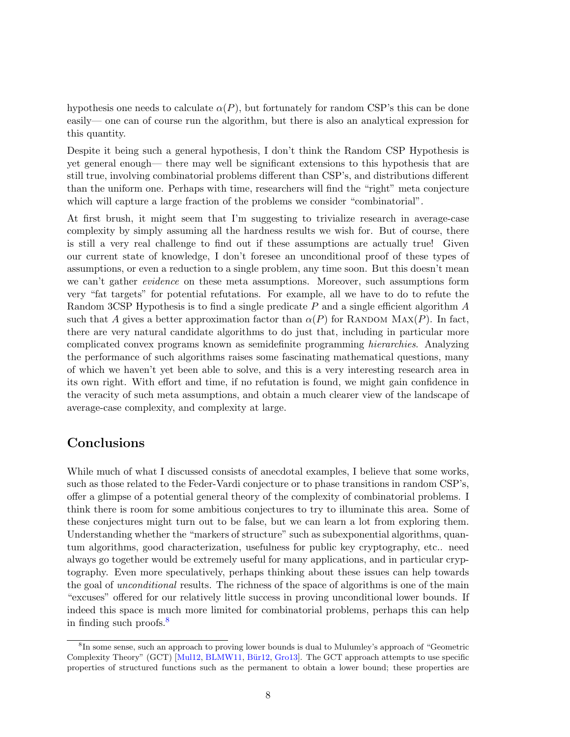<span id="page-7-1"></span>hypothesis one needs to calculate  $\alpha(P)$ , but fortunately for random CSP's this can be done easily— one can of course run the algorithm, but there is also an analytical expression for this quantity.

Despite it being such a general hypothesis, I don't think the Random CSP Hypothesis is yet general enough— there may well be significant extensions to this hypothesis that are still true, involving combinatorial problems different than CSP's, and distributions different than the uniform one. Perhaps with time, researchers will find the "right" meta conjecture which will capture a large fraction of the problems we consider "combinatorial".

At first brush, it might seem that I'm suggesting to trivialize research in average-case complexity by simply assuming all the hardness results we wish for. But of course, there is still a very real challenge to find out if these assumptions are actually true! Given our current state of knowledge, I don't foresee an unconditional proof of these types of assumptions, or even a reduction to a single problem, any time soon. But this doesn't mean we can't gather evidence on these meta assumptions. Moreover, such assumptions form very "fat targets" for potential refutations. For example, all we have to do to refute the Random 3CSP Hypothesis is to find a single predicate P and a single efficient algorithm A such that A gives a better approximation factor than  $\alpha(P)$  for RANDOM MAX $(P)$ . In fact, there are very natural candidate algorithms to do just that, including in particular more complicated convex programs known as semidefinite programming hierarchies. Analyzing the performance of such algorithms raises some fascinating mathematical questions, many of which we haven't yet been able to solve, and this is a very interesting research area in its own right. With effort and time, if no refutation is found, we might gain confidence in the veracity of such meta assumptions, and obtain a much clearer view of the landscape of average-case complexity, and complexity at large.

#### Conclusions

While much of what I discussed consists of anecdotal examples, I believe that some works, such as those related to the Feder-Vardi conjecture or to phase transitions in random CSP's, offer a glimpse of a potential general theory of the complexity of combinatorial problems. I think there is room for some ambitious conjectures to try to illuminate this area. Some of these conjectures might turn out to be false, but we can learn a lot from exploring them. Understanding whether the "markers of structure" such as subexponential algorithms, quantum algorithms, good characterization, usefulness for public key cryptography, etc.. need always go together would be extremely useful for many applications, and in particular cryptography. Even more speculatively, perhaps thinking about these issues can help towards the goal of unconditional results. The richness of the space of algorithms is one of the main "excuses" offered for our relatively little success in proving unconditional lower bounds. If indeed this space is much more limited for combinatorial problems, perhaps this can help in finding such proofs.[8](#page-7-0)

<span id="page-7-0"></span><sup>&</sup>lt;sup>8</sup>In some sense, such an approach to proving lower bounds is dual to Mulumley's approach of "Geometric" Complexity Theory" (GCT) [\[Mul12,](#page--1-14) [BLMW11,](#page-8-8) Bür12, [Gro13\]](#page-9-13). The GCT approach attempts to use specific properties of structured functions such as the permanent to obtain a lower bound; these properties are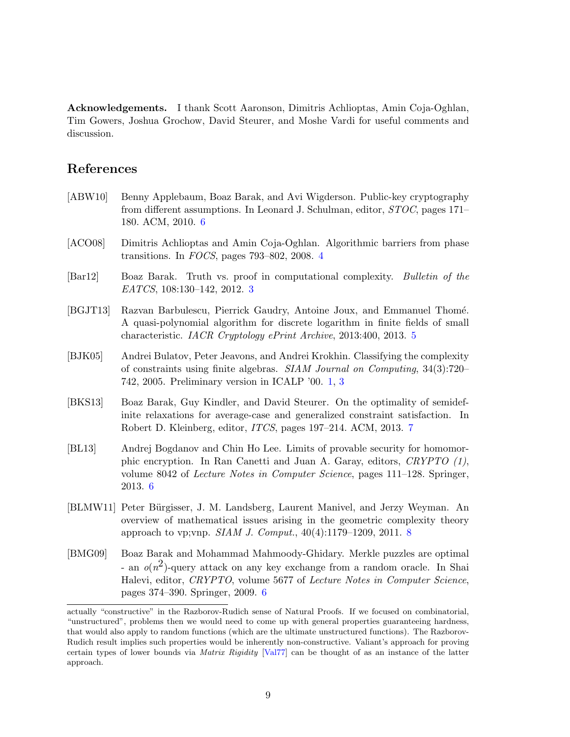Acknowledgements. I thank Scott Aaronson, Dimitris Achlioptas, Amin Coja-Oghlan, Tim Gowers, Joshua Grochow, David Steurer, and Moshe Vardi for useful comments and discussion.

## References

- <span id="page-8-4"></span>[ABW10] Benny Applebaum, Boaz Barak, and Avi Wigderson. Public-key cryptography from different assumptions. In Leonard J. Schulman, editor, STOC, pages 171– 180. ACM, 2010. [6](#page-5-1)
- <span id="page-8-2"></span>[ACO08] Dimitris Achlioptas and Amin Coja-Oghlan. Algorithmic barriers from phase transitions. In FOCS, pages 793–802, 2008. [4](#page-3-1)
- <span id="page-8-1"></span>[Bar12] Boaz Barak. Truth vs. proof in computational complexity. Bulletin of the EATCS, 108:130–142, 2012. [3](#page-2-2)
- <span id="page-8-3"></span>[BGJT13] Razvan Barbulescu, Pierrick Gaudry, Antoine Joux, and Emmanuel Thom´e. A quasi-polynomial algorithm for discrete logarithm in finite fields of small characteristic. IACR Cryptology ePrint Archive, 2013:400, 2013. [5](#page-4-0)
- <span id="page-8-0"></span>[BJK05] Andrei Bulatov, Peter Jeavons, and Andrei Krokhin. Classifying the complexity of constraints using finite algebras. SIAM Journal on Computing, 34(3):720– 742, 2005. Preliminary version in ICALP '00. [1,](#page--1-15) [3](#page-2-2)
- <span id="page-8-7"></span>[BKS13] Boaz Barak, Guy Kindler, and David Steurer. On the optimality of semidefinite relaxations for average-case and generalized constraint satisfaction. In Robert D. Kleinberg, editor, ITCS, pages 197–214. ACM, 2013. [7](#page-6-2)
- <span id="page-8-6"></span>[BL13] Andrej Bogdanov and Chin Ho Lee. Limits of provable security for homomorphic encryption. In Ran Canetti and Juan A. Garay, editors, CRYPTO (1), volume 8042 of Lecture Notes in Computer Science, pages 111–128. Springer, 2013. [6](#page-5-1)
- <span id="page-8-8"></span>[BLMW11] Peter B¨urgisser, J. M. Landsberg, Laurent Manivel, and Jerzy Weyman. An overview of mathematical issues arising in the geometric complexity theory approach to vp; vnp. *SIAM J. Comput.*,  $40(4):1179-1209$ , 2011. [8](#page-7-1)
- <span id="page-8-5"></span>[BMG09] Boaz Barak and Mohammad Mahmoody-Ghidary. Merkle puzzles are optimal - an  $o(n^2)$ -query attack on any key exchange from a random oracle. In Shai Halevi, editor, CRYPTO, volume 5677 of Lecture Notes in Computer Science, pages 374–390. Springer, 2009. [6](#page-5-1)

actually "constructive" in the Razborov-Rudich sense of Natural Proofs. If we focused on combinatorial, "unstructured", problems then we would need to come up with general properties guaranteeing hardness, that would also apply to random functions (which are the ultimate unstructured functions). The Razborov-Rudich result implies such properties would be inherently non-constructive. Valiant's approach for proving certain types of lower bounds via Matrix Rigidity [\[Val77\]](#page--1-16) can be thought of as an instance of the latter approach.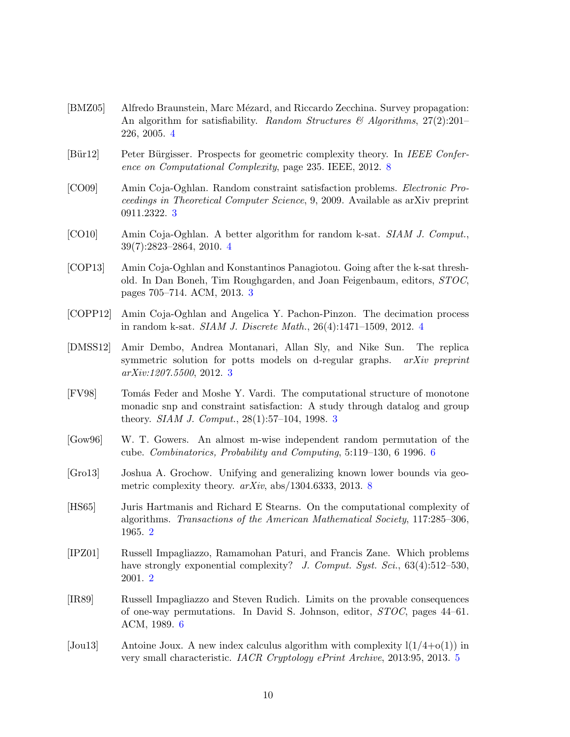- <span id="page-9-6"></span>[BMZ05] Alfredo Braunstein, Marc Mézard, and Riccardo Zecchina. Survey propagation: An algorithm for satisfiability. Random Structures  $\mathscr{B}$  Algorithms, 27(2):201– 226, 2005. [4](#page-3-1)
- <span id="page-9-12"></span>[Bür12] Peter Bürgisser. Prospects for geometric complexity theory. In IEEE Conference on Computational Complexity, page 235. IEEE, 2012. [8](#page-7-1)
- <span id="page-9-3"></span>[CO09] Amin Coja-Oghlan. Random constraint satisfaction problems. Electronic Proceedings in Theoretical Computer Science, 9, 2009. Available as arXiv preprint 0911.2322. [3](#page-2-2)
- <span id="page-9-8"></span>[CO10] Amin Coja-Oghlan. A better algorithm for random k-sat. SIAM J. Comput., 39(7):2823–2864, 2010. [4](#page-3-1)
- <span id="page-9-5"></span>[COP13] Amin Coja-Oghlan and Konstantinos Panagiotou. Going after the k-sat threshold. In Dan Boneh, Tim Roughgarden, and Joan Feigenbaum, editors, STOC, pages 705–714. ACM, 2013. [3](#page-2-2)
- <span id="page-9-7"></span>[COPP12] Amin Coja-Oghlan and Angelica Y. Pachon-Pinzon. The decimation process in random k-sat. SIAM J. Discrete Math., 26(4):1471–1509, 2012. [4](#page-3-1)
- <span id="page-9-4"></span>[DMSS12] Amir Dembo, Andrea Montanari, Allan Sly, and Nike Sun. The replica symmetric solution for potts models on d-regular graphs. *arXiv preprint* arXiv:1207.5500, 2012. [3](#page-2-2)
- <span id="page-9-2"></span>[FV98] Tomás Feder and Moshe Y. Vardi. The computational structure of monotone monadic snp and constraint satisfaction: A study through datalog and group theory. SIAM J. Comput., 28(1):57–104, 1998. [3](#page-2-2)
- <span id="page-9-10"></span>[Gow96] W. T. Gowers. An almost m-wise independent random permutation of the cube. Combinatorics, Probability and Computing, 5:119–130, 6 1996. [6](#page-5-1)
- <span id="page-9-13"></span>[Gro13] Joshua A. Grochow. Unifying and generalizing known lower bounds via geometric complexity theory.  $arXiv$ , abs/1304.6333, 2013. [8](#page-7-1)
- <span id="page-9-0"></span>[HS65] Juris Hartmanis and Richard E Stearns. On the computational complexity of algorithms. Transactions of the American Mathematical Society, 117:285–306, 1965. [2](#page-1-1)
- <span id="page-9-1"></span>[IPZ01] Russell Impagliazzo, Ramamohan Paturi, and Francis Zane. Which problems have strongly exponential complexity? J. Comput. Syst. Sci.,  $63(4):512-530$ , 2001. [2](#page-1-1)
- <span id="page-9-11"></span>[IR89] Russell Impagliazzo and Steven Rudich. Limits on the provable consequences of one-way permutations. In David S. Johnson, editor, STOC, pages 44–61. ACM, 1989. [6](#page-5-1)
- <span id="page-9-9"></span>[Jou13] Antoine Joux. A new index calculus algorithm with complexity  $l(1/4+o(1))$  in very small characteristic. IACR Cryptology ePrint Archive, 2013:95, 2013. [5](#page-4-0)